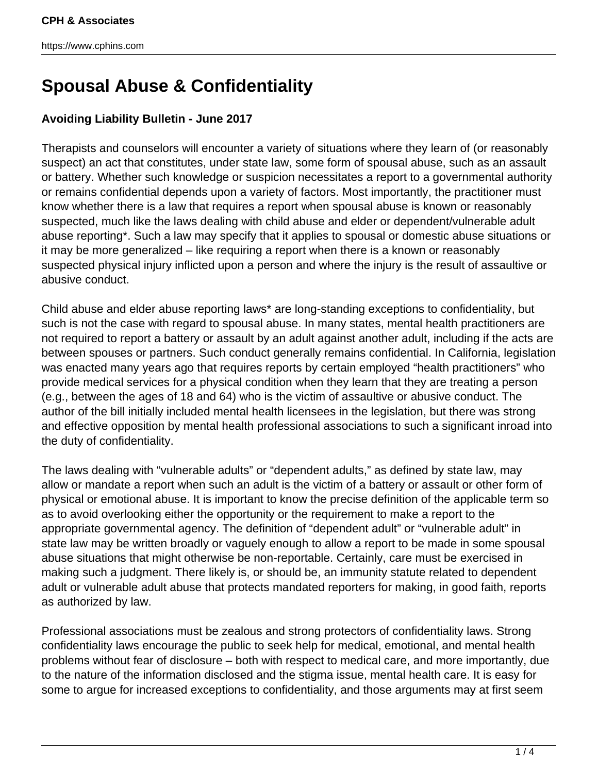# **Spousal Abuse & Confidentiality**

## **Avoiding Liability Bulletin - June 2017**

Therapists and counselors will encounter a variety of situations where they learn of (or reasonably suspect) an act that constitutes, under state law, some form of spousal abuse, such as an assault or battery. Whether such knowledge or suspicion necessitates a report to a governmental authority or remains confidential depends upon a variety of factors. Most importantly, the practitioner must know whether there is a law that requires a report when spousal abuse is known or reasonably suspected, much like the laws dealing with child abuse and elder or dependent/vulnerable adult abuse reporting\*. Such a law may specify that it applies to spousal or domestic abuse situations or it may be more generalized – like requiring a report when there is a known or reasonably suspected physical injury inflicted upon a person and where the injury is the result of assaultive or abusive conduct.

Child abuse and elder abuse reporting laws\* are long-standing exceptions to confidentiality, but such is not the case with regard to spousal abuse. In many states, mental health practitioners are not required to report a battery or assault by an adult against another adult, including if the acts are between spouses or partners. Such conduct generally remains confidential. In California, legislation was enacted many years ago that requires reports by certain employed "health practitioners" who provide medical services for a physical condition when they learn that they are treating a person (e.g., between the ages of 18 and 64) who is the victim of assaultive or abusive conduct. The author of the bill initially included mental health licensees in the legislation, but there was strong and effective opposition by mental health professional associations to such a significant inroad into the duty of confidentiality.

The laws dealing with "vulnerable adults" or "dependent adults," as defined by state law, may allow or mandate a report when such an adult is the victim of a battery or assault or other form of physical or emotional abuse. It is important to know the precise definition of the applicable term so as to avoid overlooking either the opportunity or the requirement to make a report to the appropriate governmental agency. The definition of "dependent adult" or "vulnerable adult" in state law may be written broadly or vaguely enough to allow a report to be made in some spousal abuse situations that might otherwise be non-reportable. Certainly, care must be exercised in making such a judgment. There likely is, or should be, an immunity statute related to dependent adult or vulnerable adult abuse that protects mandated reporters for making, in good faith, reports as authorized by law.

Professional associations must be zealous and strong protectors of confidentiality laws. Strong confidentiality laws encourage the public to seek help for medical, emotional, and mental health problems without fear of disclosure – both with respect to medical care, and more importantly, due to the nature of the information disclosed and the stigma issue, mental health care. It is easy for some to argue for increased exceptions to confidentiality, and those arguments may at first seem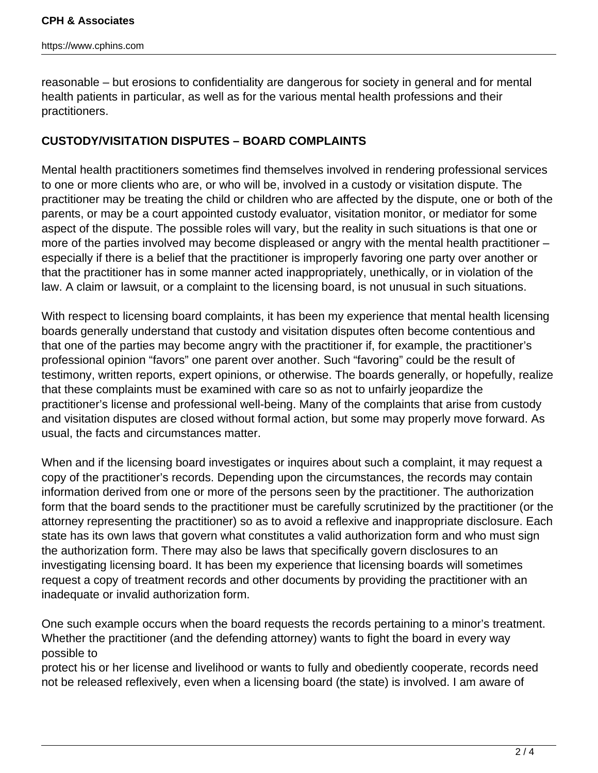reasonable – but erosions to confidentiality are dangerous for society in general and for mental health patients in particular, as well as for the various mental health professions and their practitioners.

## **CUSTODY/VISITATION DISPUTES – BOARD COMPLAINTS**

Mental health practitioners sometimes find themselves involved in rendering professional services to one or more clients who are, or who will be, involved in a custody or visitation dispute. The practitioner may be treating the child or children who are affected by the dispute, one or both of the parents, or may be a court appointed custody evaluator, visitation monitor, or mediator for some aspect of the dispute. The possible roles will vary, but the reality in such situations is that one or more of the parties involved may become displeased or angry with the mental health practitioner – especially if there is a belief that the practitioner is improperly favoring one party over another or that the practitioner has in some manner acted inappropriately, unethically, or in violation of the law. A claim or lawsuit, or a complaint to the licensing board, is not unusual in such situations.

With respect to licensing board complaints, it has been my experience that mental health licensing boards generally understand that custody and visitation disputes often become contentious and that one of the parties may become angry with the practitioner if, for example, the practitioner's professional opinion "favors" one parent over another. Such "favoring" could be the result of testimony, written reports, expert opinions, or otherwise. The boards generally, or hopefully, realize that these complaints must be examined with care so as not to unfairly jeopardize the practitioner's license and professional well-being. Many of the complaints that arise from custody and visitation disputes are closed without formal action, but some may properly move forward. As usual, the facts and circumstances matter.

When and if the licensing board investigates or inquires about such a complaint, it may request a copy of the practitioner's records. Depending upon the circumstances, the records may contain information derived from one or more of the persons seen by the practitioner. The authorization form that the board sends to the practitioner must be carefully scrutinized by the practitioner (or the attorney representing the practitioner) so as to avoid a reflexive and inappropriate disclosure. Each state has its own laws that govern what constitutes a valid authorization form and who must sign the authorization form. There may also be laws that specifically govern disclosures to an investigating licensing board. It has been my experience that licensing boards will sometimes request a copy of treatment records and other documents by providing the practitioner with an inadequate or invalid authorization form.

One such example occurs when the board requests the records pertaining to a minor's treatment. Whether the practitioner (and the defending attorney) wants to fight the board in every way possible to

protect his or her license and livelihood or wants to fully and obediently cooperate, records need not be released reflexively, even when a licensing board (the state) is involved. I am aware of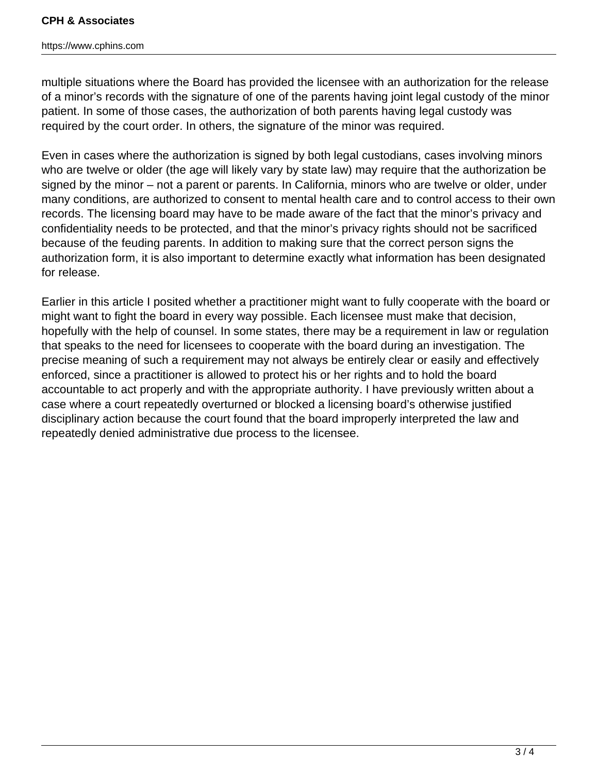### **CPH & Associates**

#### https://www.cphins.com

multiple situations where the Board has provided the licensee with an authorization for the release of a minor's records with the signature of one of the parents having joint legal custody of the minor patient. In some of those cases, the authorization of both parents having legal custody was required by the court order. In others, the signature of the minor was required.

Even in cases where the authorization is signed by both legal custodians, cases involving minors who are twelve or older (the age will likely vary by state law) may require that the authorization be signed by the minor – not a parent or parents. In California, minors who are twelve or older, under many conditions, are authorized to consent to mental health care and to control access to their own records. The licensing board may have to be made aware of the fact that the minor's privacy and confidentiality needs to be protected, and that the minor's privacy rights should not be sacrificed because of the feuding parents. In addition to making sure that the correct person signs the authorization form, it is also important to determine exactly what information has been designated for release.

Earlier in this article I posited whether a practitioner might want to fully cooperate with the board or might want to fight the board in every way possible. Each licensee must make that decision, hopefully with the help of counsel. In some states, there may be a requirement in law or regulation that speaks to the need for licensees to cooperate with the board during an investigation. The precise meaning of such a requirement may not always be entirely clear or easily and effectively enforced, since a practitioner is allowed to protect his or her rights and to hold the board accountable to act properly and with the appropriate authority. I have previously written about a case where a court repeatedly overturned or blocked a licensing board's otherwise justified disciplinary action because the court found that the board improperly interpreted the law and repeatedly denied administrative due process to the licensee.